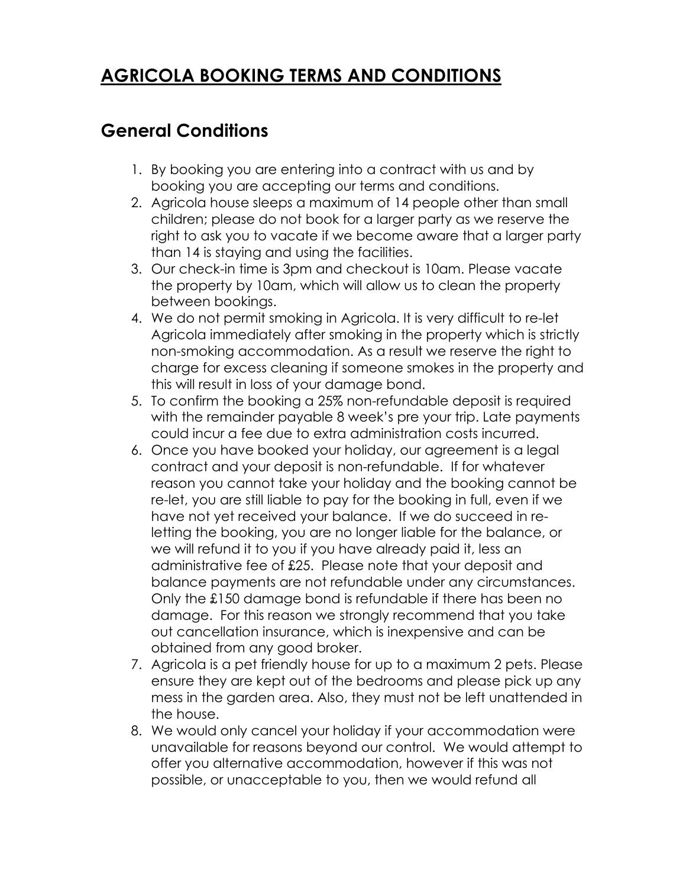# **AGRICOLA BOOKING TERMS AND CONDITIONS**

## **General Conditions**

- 1. By booking you are entering into a contract with us and by booking you are accepting our terms and conditions.
- 2. Agricola house sleeps a maximum of 14 people other than small children; please do not book for a larger party as we reserve the right to ask you to vacate if we become aware that a larger party than 14 is staying and using the facilities.
- 3. Our check-in time is 3pm and checkout is 10am. Please vacate the property by 10am, which will allow us to clean the property between bookings.
- 4. We do not permit smoking in Agricola. It is very difficult to re-let Agricola immediately after smoking in the property which is strictly non-smoking accommodation. As a result we reserve the right to charge for excess cleaning if someone smokes in the property and this will result in loss of your damage bond.
- 5. To confirm the booking a 25% non-refundable deposit is required with the remainder payable 8 week's pre your trip. Late payments could incur a fee due to extra administration costs incurred.
- 6. Once you have booked your holiday, our agreement is a legal contract and your deposit is non-refundable. If for whatever reason you cannot take your holiday and the booking cannot be re-let, you are still liable to pay for the booking in full, even if we have not yet received your balance. If we do succeed in reletting the booking, you are no longer liable for the balance, or we will refund it to you if you have already paid it, less an administrative fee of £25. Please note that your deposit and balance payments are not refundable under any circumstances. Only the £150 damage bond is refundable if there has been no damage. For this reason we strongly recommend that you take out cancellation insurance, which is inexpensive and can be obtained from any good broker.
- 7. Agricola is a pet friendly house for up to a maximum 2 pets. Please ensure they are kept out of the bedrooms and please pick up any mess in the garden area. Also, they must not be left unattended in the house.
- 8. We would only cancel your holiday if your accommodation were unavailable for reasons beyond our control. We would attempt to offer you alternative accommodation, however if this was not possible, or unacceptable to you, then we would refund all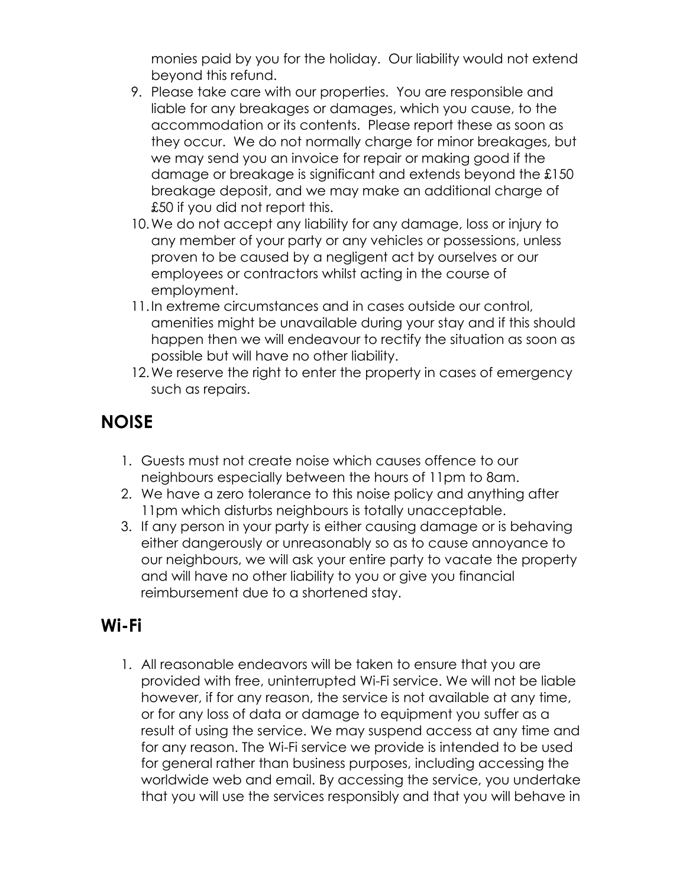monies paid by you for the holiday. Our liability would not extend beyond this refund.

- 9. Please take care with our properties. You are responsible and liable for any breakages or damages, which you cause, to the accommodation or its contents. Please report these as soon as they occur. We do not normally charge for minor breakages, but we may send you an invoice for repair or making good if the damage or breakage is significant and extends beyond the £150 breakage deposit, and we may make an additional charge of £50 if you did not report this.
- 10.We do not accept any liability for any damage, loss or injury to any member of your party or any vehicles or possessions, unless proven to be caused by a negligent act by ourselves or our employees or contractors whilst acting in the course of employment.
- 11.In extreme circumstances and in cases outside our control, amenities might be unavailable during your stay and if this should happen then we will endeavour to rectify the situation as soon as possible but will have no other liability.
- 12. We reserve the right to enter the property in cases of emergency such as repairs.

## **NOISE**

- 1. Guests must not create noise which causes offence to our neighbours especially between the hours of 11pm to 8am.
- 2. We have a zero tolerance to this noise policy and anything after 11pm which disturbs neighbours is totally unacceptable.
- 3. If any person in your party is either causing damage or is behaving either dangerously or unreasonably so as to cause annoyance to our neighbours, we will ask your entire party to vacate the property and will have no other liability to you or give you financial reimbursement due to a shortened stay.

#### **Wi-Fi**

1. All reasonable endeavors will be taken to ensure that you are provided with free, uninterrupted Wi-Fi service. We will not be liable however, if for any reason, the service is not available at any time, or for any loss of data or damage to equipment you suffer as a result of using the service. We may suspend access at any time and for any reason. The Wi-Fi service we provide is intended to be used for general rather than business purposes, including accessing the worldwide web and email. By accessing the service, you undertake that you will use the services responsibly and that you will behave in